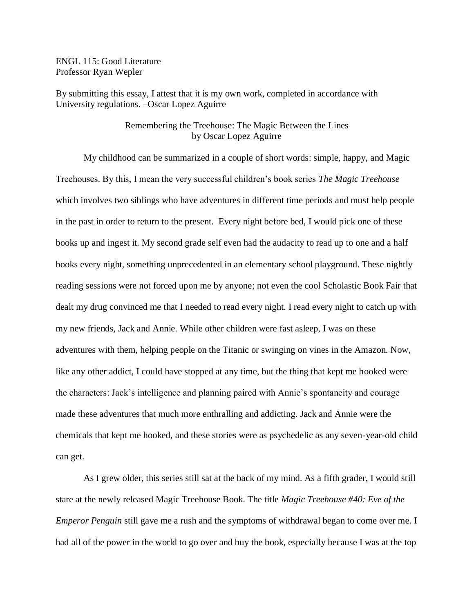ENGL 115: Good Literature Professor Ryan Wepler

By submitting this essay, I attest that it is my own work, completed in accordance with University regulations. –Oscar Lopez Aguirre

## Remembering the Treehouse: The Magic Between the Lines by Oscar Lopez Aguirre

My childhood can be summarized in a couple of short words: simple, happy, and Magic Treehouses. By this, I mean the very successful children's book series *The Magic Treehouse* which involves two siblings who have adventures in different time periods and must help people in the past in order to return to the present. Every night before bed, I would pick one of these books up and ingest it. My second grade self even had the audacity to read up to one and a half books every night, something unprecedented in an elementary school playground. These nightly reading sessions were not forced upon me by anyone; not even the cool Scholastic Book Fair that dealt my drug convinced me that I needed to read every night. I read every night to catch up with my new friends, Jack and Annie. While other children were fast asleep, I was on these adventures with them, helping people on the Titanic or swinging on vines in the Amazon. Now, like any other addict, I could have stopped at any time, but the thing that kept me hooked were the characters: Jack's intelligence and planning paired with Annie's spontaneity and courage made these adventures that much more enthralling and addicting. Jack and Annie were the chemicals that kept me hooked, and these stories were as psychedelic as any seven-year-old child can get.

As I grew older, this series still sat at the back of my mind. As a fifth grader, I would still stare at the newly released Magic Treehouse Book. The title *Magic Treehouse #40: Eve of the Emperor Penguin* still gave me a rush and the symptoms of withdrawal began to come over me. I had all of the power in the world to go over and buy the book, especially because I was at the top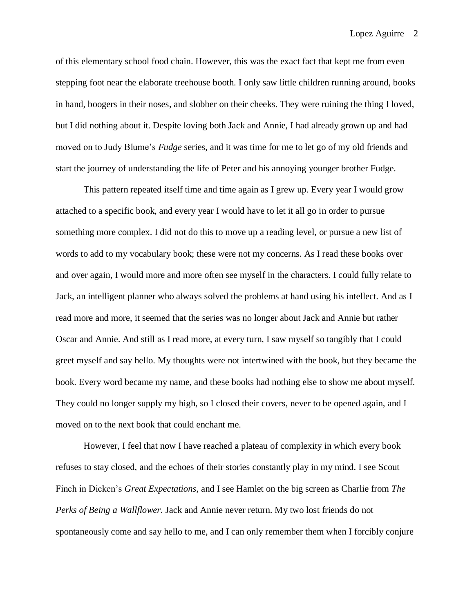of this elementary school food chain. However, this was the exact fact that kept me from even stepping foot near the elaborate treehouse booth. I only saw little children running around, books in hand, boogers in their noses, and slobber on their cheeks. They were ruining the thing I loved, but I did nothing about it. Despite loving both Jack and Annie, I had already grown up and had moved on to Judy Blume's *Fudge* series, and it was time for me to let go of my old friends and start the journey of understanding the life of Peter and his annoying younger brother Fudge.

This pattern repeated itself time and time again as I grew up. Every year I would grow attached to a specific book, and every year I would have to let it all go in order to pursue something more complex. I did not do this to move up a reading level, or pursue a new list of words to add to my vocabulary book; these were not my concerns. As I read these books over and over again, I would more and more often see myself in the characters. I could fully relate to Jack, an intelligent planner who always solved the problems at hand using his intellect. And as I read more and more, it seemed that the series was no longer about Jack and Annie but rather Oscar and Annie. And still as I read more, at every turn, I saw myself so tangibly that I could greet myself and say hello. My thoughts were not intertwined with the book, but they became the book. Every word became my name, and these books had nothing else to show me about myself. They could no longer supply my high, so I closed their covers, never to be opened again, and I moved on to the next book that could enchant me.

However, I feel that now I have reached a plateau of complexity in which every book refuses to stay closed, and the echoes of their stories constantly play in my mind. I see Scout Finch in Dicken's *Great Expectations,* and I see Hamlet on the big screen as Charlie from *The Perks of Being a Wallflower.* Jack and Annie never return. My two lost friends do not spontaneously come and say hello to me, and I can only remember them when I forcibly conjure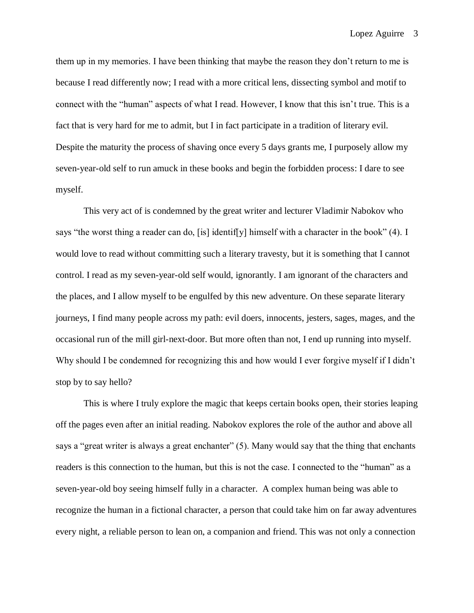Lopez Aguirre 3

them up in my memories. I have been thinking that maybe the reason they don't return to me is because I read differently now; I read with a more critical lens, dissecting symbol and motif to connect with the "human" aspects of what I read. However, I know that this isn't true. This is a fact that is very hard for me to admit, but I in fact participate in a tradition of literary evil. Despite the maturity the process of shaving once every 5 days grants me, I purposely allow my seven-year-old self to run amuck in these books and begin the forbidden process: I dare to see myself.

This very act of is condemned by the great writer and lecturer Vladimir Nabokov who says "the worst thing a reader can do, [is] identif[y] himself with a character in the book" (4). I would love to read without committing such a literary travesty, but it is something that I cannot control. I read as my seven-year-old self would, ignorantly. I am ignorant of the characters and the places, and I allow myself to be engulfed by this new adventure. On these separate literary journeys, I find many people across my path: evil doers, innocents, jesters, sages, mages, and the occasional run of the mill girl-next-door. But more often than not, I end up running into myself. Why should I be condemned for recognizing this and how would I ever forgive myself if I didn't stop by to say hello?

This is where I truly explore the magic that keeps certain books open, their stories leaping off the pages even after an initial reading. Nabokov explores the role of the author and above all says a "great writer is always a great enchanter" (5). Many would say that the thing that enchants readers is this connection to the human, but this is not the case. I connected to the "human" as a seven-year-old boy seeing himself fully in a character. A complex human being was able to recognize the human in a fictional character, a person that could take him on far away adventures every night, a reliable person to lean on, a companion and friend. This was not only a connection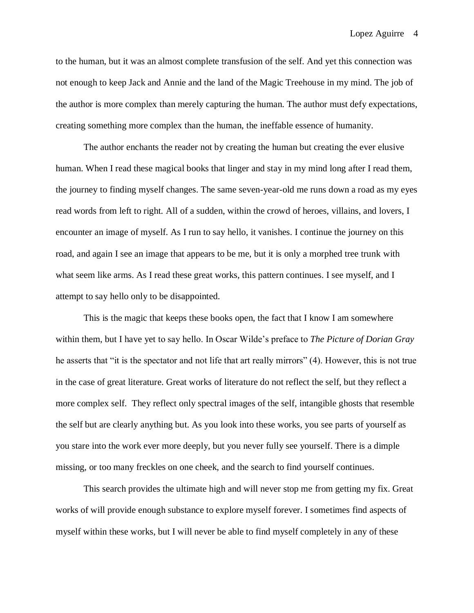Lopez Aguirre 4

to the human, but it was an almost complete transfusion of the self. And yet this connection was not enough to keep Jack and Annie and the land of the Magic Treehouse in my mind. The job of the author is more complex than merely capturing the human. The author must defy expectations, creating something more complex than the human, the ineffable essence of humanity.

The author enchants the reader not by creating the human but creating the ever elusive human. When I read these magical books that linger and stay in my mind long after I read them, the journey to finding myself changes. The same seven-year-old me runs down a road as my eyes read words from left to right. All of a sudden, within the crowd of heroes, villains, and lovers, I encounter an image of myself. As I run to say hello, it vanishes. I continue the journey on this road, and again I see an image that appears to be me, but it is only a morphed tree trunk with what seem like arms. As I read these great works, this pattern continues. I see myself, and I attempt to say hello only to be disappointed.

This is the magic that keeps these books open, the fact that I know I am somewhere within them, but I have yet to say hello. In Oscar Wilde's preface to *The Picture of Dorian Gray* he asserts that "it is the spectator and not life that art really mirrors" (4). However, this is not true in the case of great literature. Great works of literature do not reflect the self, but they reflect a more complex self. They reflect only spectral images of the self, intangible ghosts that resemble the self but are clearly anything but. As you look into these works, you see parts of yourself as you stare into the work ever more deeply, but you never fully see yourself. There is a dimple missing, or too many freckles on one cheek, and the search to find yourself continues.

This search provides the ultimate high and will never stop me from getting my fix. Great works of will provide enough substance to explore myself forever. I sometimes find aspects of myself within these works, but I will never be able to find myself completely in any of these